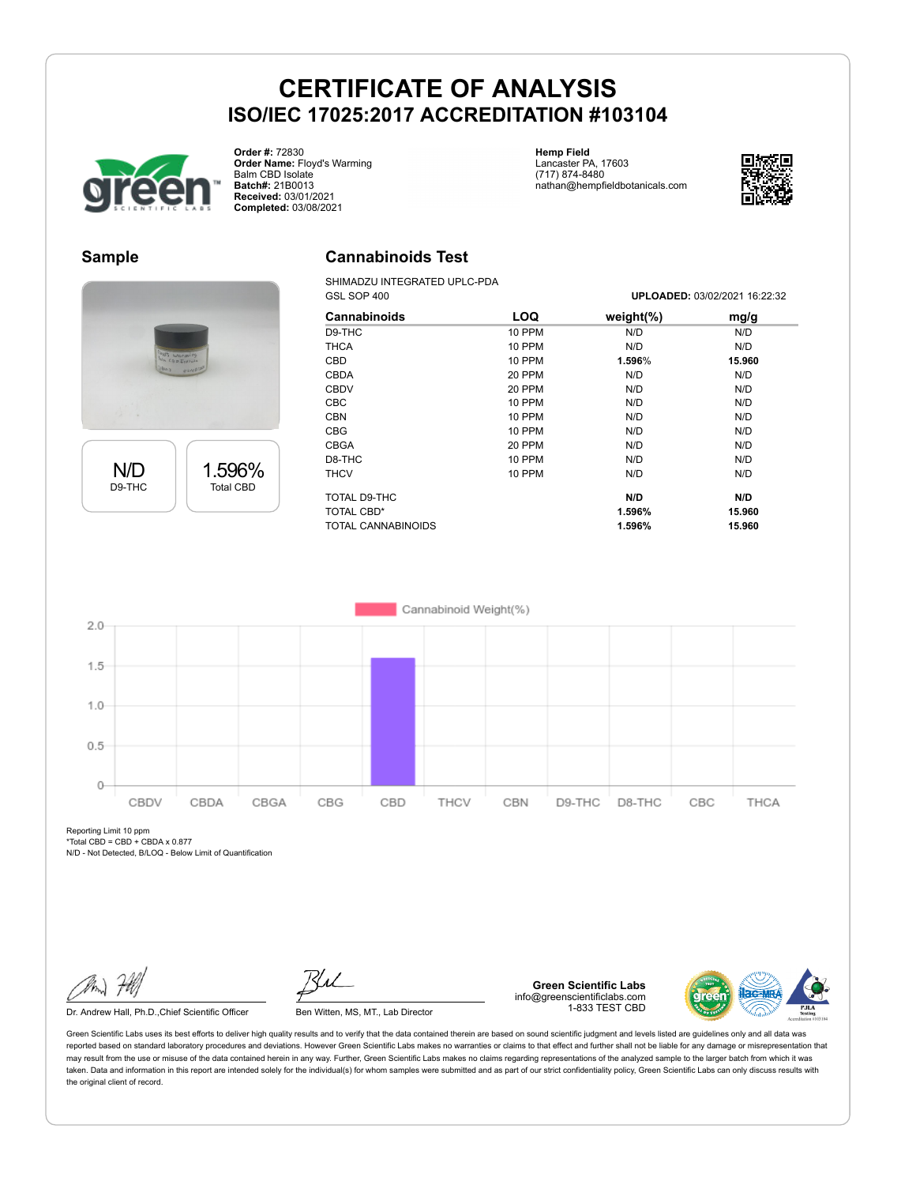## **CERTIFICATE OF ANALYSIS ISO/IEC 17025:2017 ACCREDITATION #103104**

**Cannabinoids Test** SHIMADZU INTEGRATED UPLC-PDA



**Order #:** 72830 **Order Name:** Floyd's Warming Balm CBD Isolate **Batch#:** 21B0013 **Received:** 03/01/2021 **Completed:** 03/08/2021

**Hemp Field** Lancaster PA, 17603 (717) 874-8480 nathan@hempfieldbotanicals.com



## **Sample**





|               | <b>UFLOADED.</b> 03/02/2021 10.22.32 |        |
|---------------|--------------------------------------|--------|
| <b>LOQ</b>    | weight $(\%)$                        | mg/g   |
| 10 PPM        | N/D                                  | N/D    |
| 10 PPM        | N/D                                  | N/D    |
| 10 PPM        | 1.596%                               | 15.960 |
| 20 PPM        | N/D                                  | N/D    |
| 20 PPM        | N/D                                  | N/D    |
| 10 PPM        | N/D                                  | N/D    |
| 10 PPM        | N/D                                  | N/D    |
| <b>10 PPM</b> | N/D                                  | N/D    |
| 20 PPM        | N/D                                  | N/D    |
| 10 PPM        | N/D                                  | N/D    |
| 10 PPM        | N/D                                  | N/D    |
|               | N/D                                  | N/D    |
|               | 1.596%                               | 15.960 |
|               | 1.596%                               | 15.960 |
|               |                                      |        |

GSL SOP 400 **UPLOADED:** 03/02/2021 16:22:32



Reporting Limit 10 ppm  $*Total CBD = CBD + CBDAX 0.877$ 

N/D - Not Detected, B/LOQ - Below Limit of Quantification

Dr. Andrew Hall, Ph.D., Chief Scientific Officer Ben Witten, MS, MT., Lab Director

**Green Scientific Labs** info@greenscientificlabs.com 1-833 TEST CBD



Green Scientific Labs uses its best efforts to deliver high quality results and to verify that the data contained therein are based on sound scientific judgment and levels listed are guidelines only and all data was reported based on standard laboratory procedures and deviations. However Green Scientific Labs makes no warranties or claims to that effect and further shall not be liable for any damage or misrepresentation that may result from the use or misuse of the data contained herein in any way. Further, Green Scientific Labs makes no claims regarding representations of the analyzed sample to the larger batch from which it was taken. Data and information in this report are intended solely for the individual(s) for whom samples were submitted and as part of our strict confidentiality policy, Green Scientific Labs can only discuss results with the original client of record.